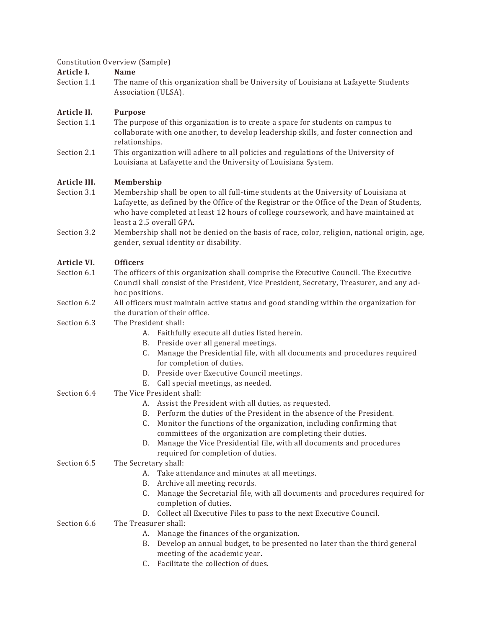### Constitution Overview (Sample)

### **Article I. Name**

Section 1.1 The name of this organization shall be University of Louisiana at Lafayette Students Association (ULSA).

### **Article II. Purpose**

- Section 1.1 The purpose of this organization is to create a space for students on campus to collaborate with one another, to develop leadership skills, and foster connection and relationships.
- Section 2.1 This organization will adhere to all policies and regulations of the University of Louisiana at Lafayette and the University of Louisiana System.

### **Article III. Membership**

- Section 3.1 Membership shall be open to all full-time students at the University of Louisiana at Lafayette, as defined by the Office of the Registrar or the Office of the Dean of Students, who have completed at least 12 hours of college coursework, and have maintained at least a 2.5 overall GPA.
- Section 3.2 Membership shall not be denied on the basis of race, color, religion, national origin, age, gender, sexual identity or disability.

### **Article VI. Officers**

- Section 6.1 The officers of this organization shall comprise the Executive Council. The Executive Council shall consist of the President, Vice President, Secretary, Treasurer, and any adhoc positions.
- Section 6.2 All officers must maintain active status and good standing within the organization for the duration of their office.
- Section 6.3 The President shall:
	- A. Faithfully execute all duties listed herein.
	- B. Preside over all general meetings.
	- C. Manage the Presidential file, with all documents and procedures required for completion of duties.
	- D. Preside over Executive Council meetings.
	- E. Call special meetings, as needed.
- Section 6.4 The Vice President shall:
	- A. Assist the President with all duties, as requested.
	- B. Perform the duties of the President in the absence of the President.
	- C. Monitor the functions of the organization, including confirming that committees of the organization are completing their duties.
	- D. Manage the Vice Presidential file, with all documents and procedures required for completion of duties.

### Section 6.5 The Secretary shall:

- A. Take attendance and minutes at all meetings.
- B. Archive all meeting records.
- C. Manage the Secretarial file, with all documents and procedures required for completion of duties.
- D. Collect all Executive Files to pass to the next Executive Council.

# Section 6.6 The Treasurer shall:

- A. Manage the finances of the organization.
- B. Develop an annual budget, to be presented no later than the third general meeting of the academic year.
- C. Facilitate the collection of dues.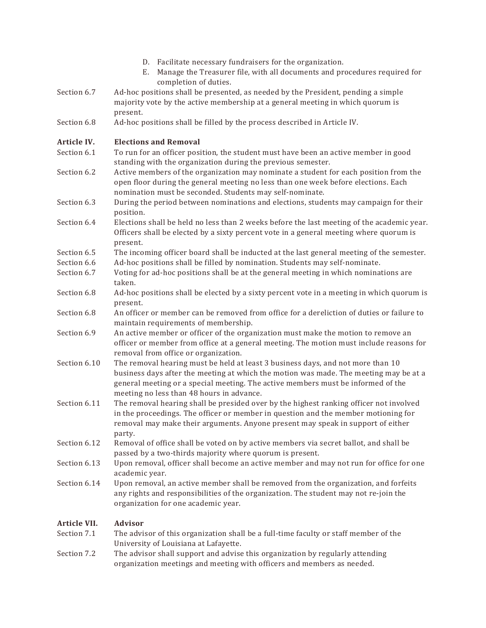|              | D. Facilitate necessary fundraisers for the organization.                                                               |
|--------------|-------------------------------------------------------------------------------------------------------------------------|
|              | Manage the Treasurer file, with all documents and procedures required for<br>Е.                                         |
|              | completion of duties.                                                                                                   |
| Section 6.7  | Ad-hoc positions shall be presented, as needed by the President, pending a simple                                       |
|              | majority vote by the active membership at a general meeting in which quorum is                                          |
|              | present.                                                                                                                |
| Section 6.8  | Ad-hoc positions shall be filled by the process described in Article IV.                                                |
| Article IV.  | <b>Elections and Removal</b>                                                                                            |
| Section 6.1  | To run for an officer position, the student must have been an active member in good                                     |
|              | standing with the organization during the previous semester.                                                            |
| Section 6.2  | Active members of the organization may nominate a student for each position from the                                    |
|              | open floor during the general meeting no less than one week before elections. Each                                      |
|              | nomination must be seconded. Students may self-nominate.                                                                |
| Section 6.3  | During the period between nominations and elections, students may campaign for their                                    |
|              | position.                                                                                                               |
| Section 6.4  | Elections shall be held no less than 2 weeks before the last meeting of the academic year.                              |
|              | Officers shall be elected by a sixty percent vote in a general meeting where quorum is                                  |
|              | present.                                                                                                                |
| Section 6.5  | The incoming officer board shall be inducted at the last general meeting of the semester.                               |
| Section 6.6  | Ad-hoc positions shall be filled by nomination. Students may self-nominate.                                             |
| Section 6.7  | Voting for ad-hoc positions shall be at the general meeting in which nominations are                                    |
|              | taken.                                                                                                                  |
| Section 6.8  | Ad-hoc positions shall be elected by a sixty percent vote in a meeting in which quorum is                               |
|              | present.                                                                                                                |
| Section 6.8  | An officer or member can be removed from office for a dereliction of duties or failure to                               |
|              | maintain requirements of membership.                                                                                    |
| Section 6.9  | An active member or officer of the organization must make the motion to remove an                                       |
|              | officer or member from office at a general meeting. The motion must include reasons for                                 |
| Section 6.10 | removal from office or organization.<br>The removal hearing must be held at least 3 business days, and not more than 10 |
|              | business days after the meeting at which the motion was made. The meeting may be at a                                   |
|              | general meeting or a special meeting. The active members must be informed of the                                        |
|              | meeting no less than 48 hours in advance.                                                                               |
| Section 6.11 | The removal hearing shall be presided over by the highest ranking officer not involved                                  |
|              | in the proceedings. The officer or member in question and the member motioning for                                      |
|              | removal may make their arguments. Anyone present may speak in support of either                                         |
|              | party.                                                                                                                  |
| Section 6.12 | Removal of office shall be voted on by active members via secret ballot, and shall be                                   |
|              | passed by a two-thirds majority where quorum is present.                                                                |
| Section 6.13 | Upon removal, officer shall become an active member and may not run for office for one                                  |
|              | academic year.                                                                                                          |
| Section 6.14 | Upon removal, an active member shall be removed from the organization, and forfeits                                     |
|              | any rights and responsibilities of the organization. The student may not re-join the                                    |
|              | organization for one academic year.                                                                                     |
|              |                                                                                                                         |
| Article VII. | <b>Advisor</b>                                                                                                          |
| Section 7.1  | The advisor of this organization shall be a full-time faculty or staff member of the                                    |
|              | University of Louisiana at Lafayette.                                                                                   |
| Section 7.2  | The advisor shall support and advise this organization by regularly attending                                           |
|              | organization meetings and meeting with officers and members as needed.                                                  |
|              |                                                                                                                         |